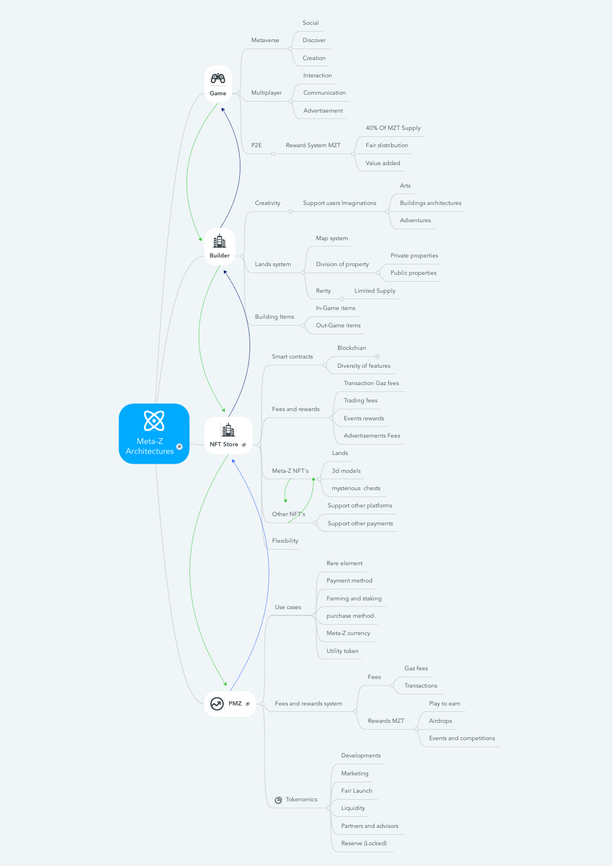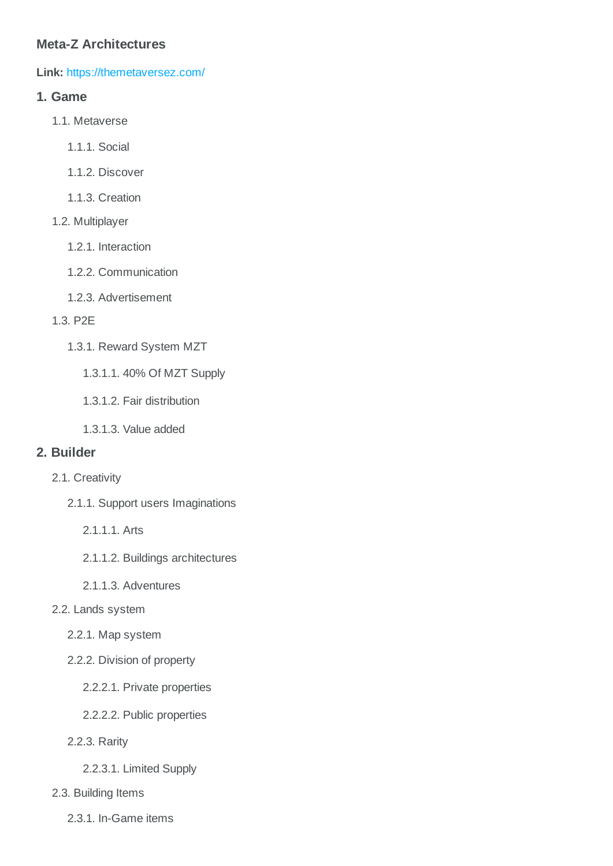# **Meta-Z Architectures**

**Link:** <https://themetaversez.com/>

## **1. Game**

- 1.1. Metaverse
	- 1.1.1. Social
	- 1.1.2. Discover
	- 1.1.3. Creation
- 1.2. Multiplayer
	- 1.2.1. Interaction
	- 1.2.2. Communication
	- 1.2.3. Advertisement
- 1.3. P2E
	- 1.3.1. Reward System MZT
		- 1.3.1.1. 40% Of MZT Supply
		- 1.3.1.2. Fair distribution
		- 1.3.1.3. Value added

### **2. Builder**

- 2.1. Creativity
	- 2.1.1. Support users Imaginations
		- 2.1.1.1. Arts
		- 2.1.1.2. Buildings architectures
		- 2.1.1.3. Adventures

#### 2.2. Lands system

- 2.2.1. Map system
- 2.2.2. Division of property
	- 2.2.2.1. Private properties
	- 2.2.2.2. Public properties
- 2.2.3. Rarity
	- 2.2.3.1. Limited Supply
- 2.3. Building Items
	- 2.3.1. In-Game items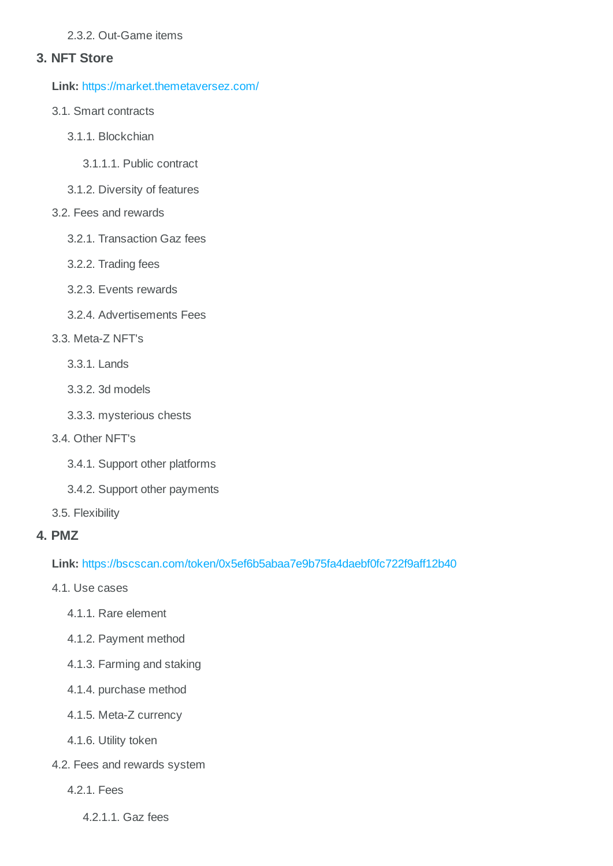### 2.3.2. Out-Game items

## **3. NFT Store**

**Link:** <https://market.themetaversez.com/>

- 3.1. Smart contracts
	- 3.1.1. Blockchian
		- 3.1.1.1. Public contract
	- 3.1.2. Diversity of features

### 3.2. Fees and rewards

- 3.2.1. Transaction Gaz fees
- 3.2.2. Trading fees
- 3.2.3. Events rewards
- 3.2.4. Advertisements Fees

### 3.3. Meta-Z NFT's

- 3.3.1. Lands
- 3.3.2. 3d models
- 3.3.3. mysterious chests
- 3.4. Other NFT's
	- 3.4.1. Support other platforms
	- 3.4.2. Support other payments
- 3.5. Flexibility

# **4. PMZ**

**Link:** <https://bscscan.com/token/0x5ef6b5abaa7e9b75fa4daebf0fc722f9aff12b40>

- 4.1. Use cases
	- 4.1.1. Rare element
	- 4.1.2. Payment method
	- 4.1.3. Farming and staking
	- 4.1.4. purchase method
	- 4.1.5. Meta-Z currency
	- 4.1.6. Utility token
- 4.2. Fees and rewards system
	- 4.2.1. Fees
		- 4.2.1.1. Gaz fees